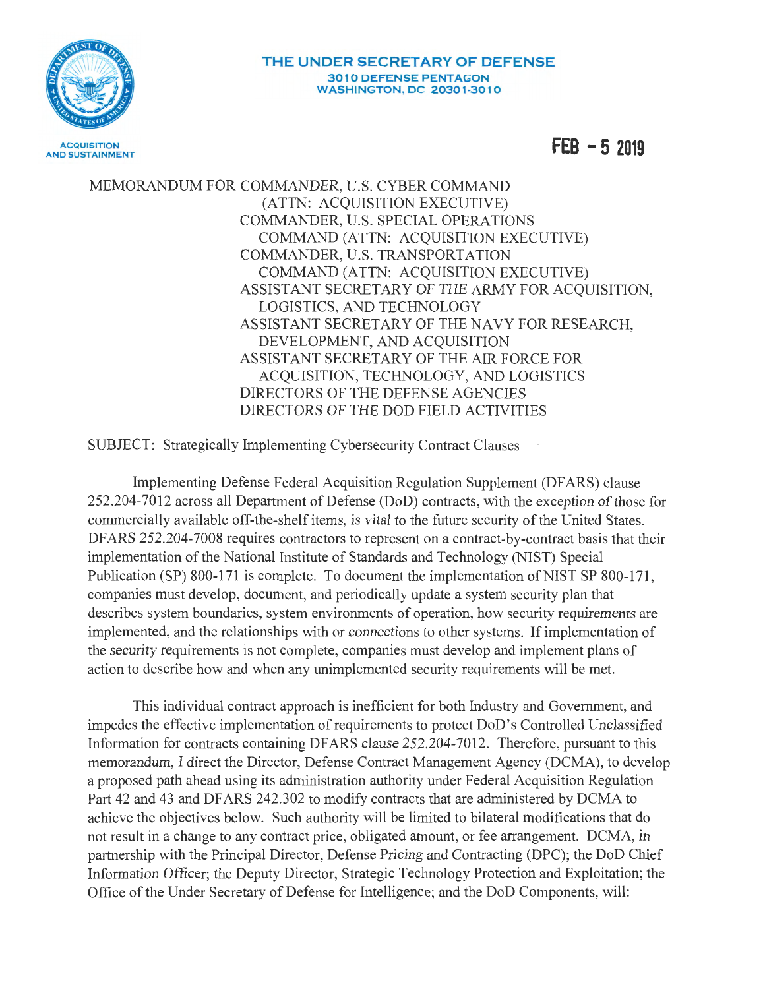

**FEB -5 2019** 

MEMORANDUM FOR COMMANDER, U.S. CYBER COMMAND (ATTN: ACQUISITION EXECUTIVE) COMMANDER, U.S. SPECIAL OPERATIONS COMMAND (ATTN: ACQUISITION EXECUTIVE) COMMANDER, U.S. TRANSPORTATION COMMAND (ATTN: ACQUISITION EXECUTIVE) ASSISTANT SECRETARY OF THE ARMY FOR ACQUISITION, LOGISTICS, AND TECHNOLOGY ASSISTANT SECRETARY OF THE NAVY FOR RESEARCH, DEVELOPMENT, AND ACQUISITION ASSISTANT SECRETARY OF THE AIR FORCE FOR ACQUISITION, TECHNOLOGY, AND LOGISTICS DIRECTORS OF THE DEFENSE AGENCIES DIRECTORS OF THE DOD FIELD ACTIVITIES

SUBJECT: Strategically Implementing Cybersecurity Contract Clauses

Implementing Defense Federal Acquisition Regulation Supplement (DF ARS) clause 252.204-7012 across all Department of Defense (DoD) contracts, with the exception of those for commercially available off-the-shelf items, is vital to the future security of the United States. DFARS 252.204-7008 requires contractors to represent on a contract-by-contract basis that their implementation of the National Institute of Standards and Technology (NIST) Special Publication (SP) 800-171 is complete. To document the implementation of NIST SP 800-171, companies must develop, document, and periodically update a system security plan that describes system boundaries, system environments of operation, how security requirements are implemented, and the relationships with or connections to other systems. If implementation of the security requirements is not complete, companies must develop and implement plans of action to describe how and when any unimplemented security requirements will be met.

This individual contract approach is inefficient for both Industry and Government, and impedes the effective implementation of requirements to protect DoD's Controlled Unclassified Information for contracts containing DF ARS clause 252.204-7012. Therefore, pursuant to this memorandum, I direct the Director, Defense Contract Management Agency (DCMA), to develop a proposed path ahead using its administration authority under Federal Acquisition Regulation Part 42 and 43 and DFARS 242.302 to modify contracts that are administered by DCMA to achieve the objectives below. Such authority will be limited to bilateral modifications that do not result in a change to any contract price, obligated amount, or fee arrangement. DCMA, in partnership with the Principal Director, Defense Pricing and Contracting (DPC); the DoD Chief Information Officer; the Deputy Director, Strategic Technology Protection and Exploitation; the Office of the Under Secretary of Defense for Intelligence; and the DoD Components, will: